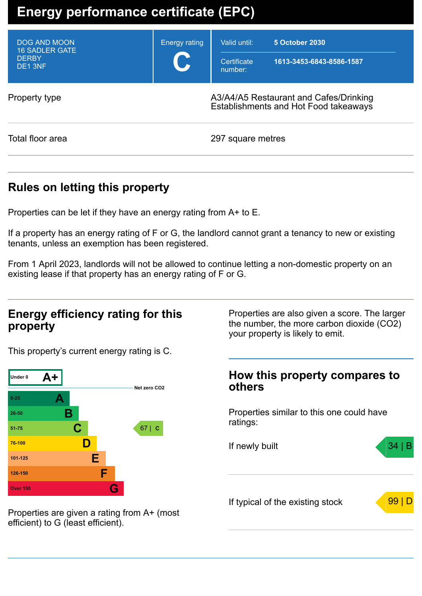# **Energy performance certificate (EPC)**

| DOG AND MOON<br><b>16 SADLER GATE</b><br><b>DERBY</b><br>DE <sub>1</sub> 3NF | <b>Energy rating</b><br><b>U</b> | Valid until:<br>Certificate<br>number: | 5 October 2030<br>1613-3453-6843-8586-1587                                      |
|------------------------------------------------------------------------------|----------------------------------|----------------------------------------|---------------------------------------------------------------------------------|
| Property type                                                                |                                  |                                        | A3/A4/A5 Restaurant and Cafes/Drinking<br>Establishments and Hot Food takeaways |
| Total floor area                                                             |                                  | 297 square metres                      |                                                                                 |

### **Rules on letting this property**

Properties can be let if they have an energy rating from A+ to E.

If a property has an energy rating of F or G, the landlord cannot grant a tenancy to new or existing tenants, unless an exemption has been registered.

From 1 April 2023, landlords will not be allowed to continue letting a non-domestic property on an existing lease if that property has an energy rating of F or G.

### **Energy efficiency rating for this property**

This property's current energy rating is C.



Properties are also given a score. The larger the number, the more carbon dioxide (CO2) your property is likely to emit.

### **How this property compares to others**

Properties similar to this one could have ratings:

If newly built  $\sim$  34 | If typical of the existing stock  $\sqrt{99}$ 

Properties are given a rating from A+ (most efficient) to G (least efficient).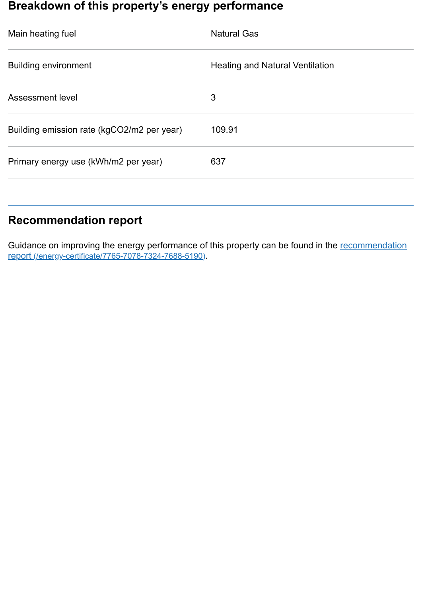### **Breakdown of this property's energy performance**

| Main heating fuel                          | <b>Natural Gas</b>                     |
|--------------------------------------------|----------------------------------------|
| <b>Building environment</b>                | <b>Heating and Natural Ventilation</b> |
| Assessment level                           | 3                                      |
| Building emission rate (kgCO2/m2 per year) | 109.91                                 |
| Primary energy use (kWh/m2 per year)       | 637                                    |
|                                            |                                        |

## **Recommendation report**

Guidance on improving the energy performance of this property can be found in the recommendation report (/energy-certificate/7765-7078-7324-7688-5190).